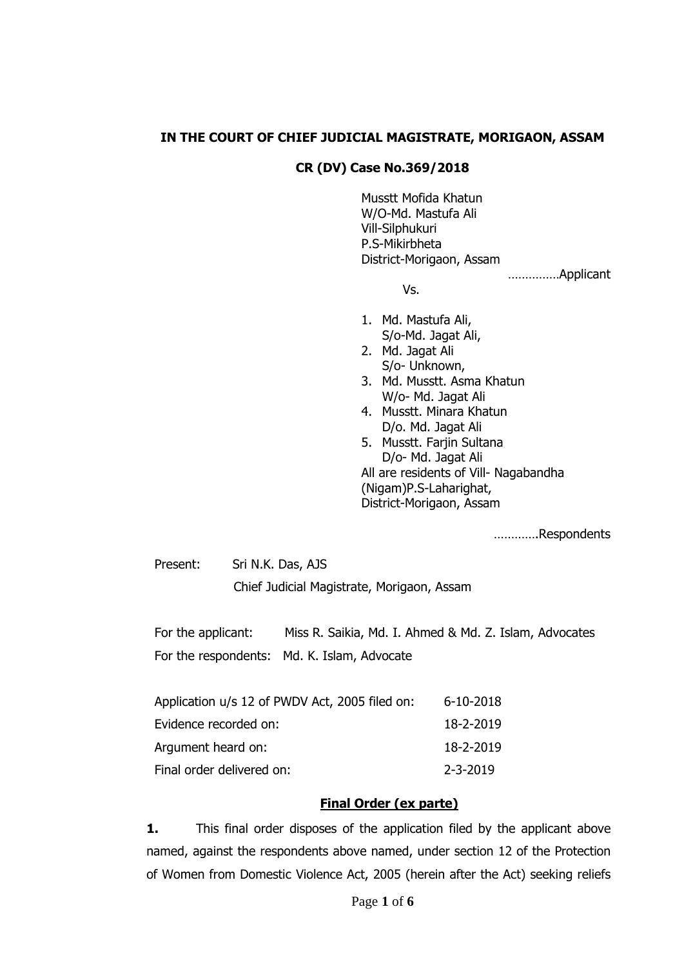#### **IN THE COURT OF CHIEF JUDICIAL MAGISTRATE, MORIGAON, ASSAM**

#### **CR (DV) Case No.369/2018**

Musstt Mofida Khatun W/O-Md. Mastufa Ali Vill-Silphukuri P.S-Mikirbheta District-Morigaon, Assam ……………Applicant

Vs.

- 1. Md. Mastufa Ali, S/o-Md. Jagat Ali,
- 2. Md. Jagat Ali S/o- Unknown,
- 3. Md. Musstt. Asma Khatun W/o- Md. Jagat Ali
- 4. Musstt. Minara Khatun D/o. Md. Jagat Ali
- 5. Musstt. Farjin Sultana D/o- Md. Jagat Ali All are residents of Vill- Nagabandha (Nigam)P.S-Laharighat, District-Morigaon, Assam

………….Respondents

Present: Sri N.K. Das, AJS Chief Judicial Magistrate, Morigaon, Assam

For the applicant: Miss R. Saikia, Md. I. Ahmed & Md. Z. Islam, Advocates For the respondents: Md. K. Islam, Advocate

| Application u/s 12 of PWDV Act, 2005 filed on: | 6-10-2018      |
|------------------------------------------------|----------------|
| Evidence recorded on:                          | 18-2-2019      |
| Argument heard on:                             | 18-2-2019      |
| Final order delivered on:                      | $2 - 3 - 2019$ |

#### **Final Order (ex parte)**

**1.** This final order disposes of the application filed by the applicant above named, against the respondents above named, under section 12 of the Protection of Women from Domestic Violence Act, 2005 (herein after the Act) seeking reliefs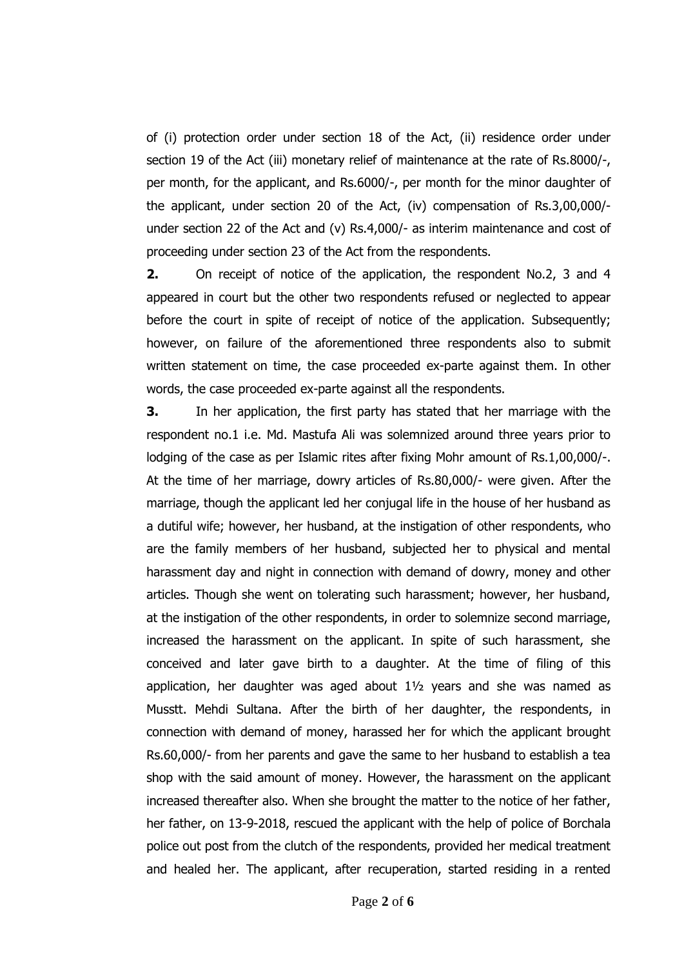of (i) protection order under section 18 of the Act, (ii) residence order under section 19 of the Act (iii) monetary relief of maintenance at the rate of Rs.8000/-, per month, for the applicant, and Rs.6000/-, per month for the minor daughter of the applicant, under section 20 of the Act, (iv) compensation of Rs.3,00,000/ under section 22 of the Act and (v) Rs.4,000/- as interim maintenance and cost of proceeding under section 23 of the Act from the respondents.

**2.** On receipt of notice of the application, the respondent No.2, 3 and 4 appeared in court but the other two respondents refused or neglected to appear before the court in spite of receipt of notice of the application. Subsequently; however, on failure of the aforementioned three respondents also to submit written statement on time, the case proceeded ex-parte against them. In other words, the case proceeded ex-parte against all the respondents.

**3.** In her application, the first party has stated that her marriage with the respondent no.1 i.e. Md. Mastufa Ali was solemnized around three years prior to lodging of the case as per Islamic rites after fixing Mohr amount of Rs.1,00,000/-. At the time of her marriage, dowry articles of Rs.80,000/- were given. After the marriage, though the applicant led her conjugal life in the house of her husband as a dutiful wife; however, her husband, at the instigation of other respondents, who are the family members of her husband, subjected her to physical and mental harassment day and night in connection with demand of dowry, money and other articles. Though she went on tolerating such harassment; however, her husband, at the instigation of the other respondents, in order to solemnize second marriage, increased the harassment on the applicant. In spite of such harassment, she conceived and later gave birth to a daughter. At the time of filing of this application, her daughter was aged about 1½ years and she was named as Musstt. Mehdi Sultana. After the birth of her daughter, the respondents, in connection with demand of money, harassed her for which the applicant brought Rs.60,000/- from her parents and gave the same to her husband to establish a tea shop with the said amount of money. However, the harassment on the applicant increased thereafter also. When she brought the matter to the notice of her father, her father, on 13-9-2018, rescued the applicant with the help of police of Borchala police out post from the clutch of the respondents, provided her medical treatment and healed her. The applicant, after recuperation, started residing in a rented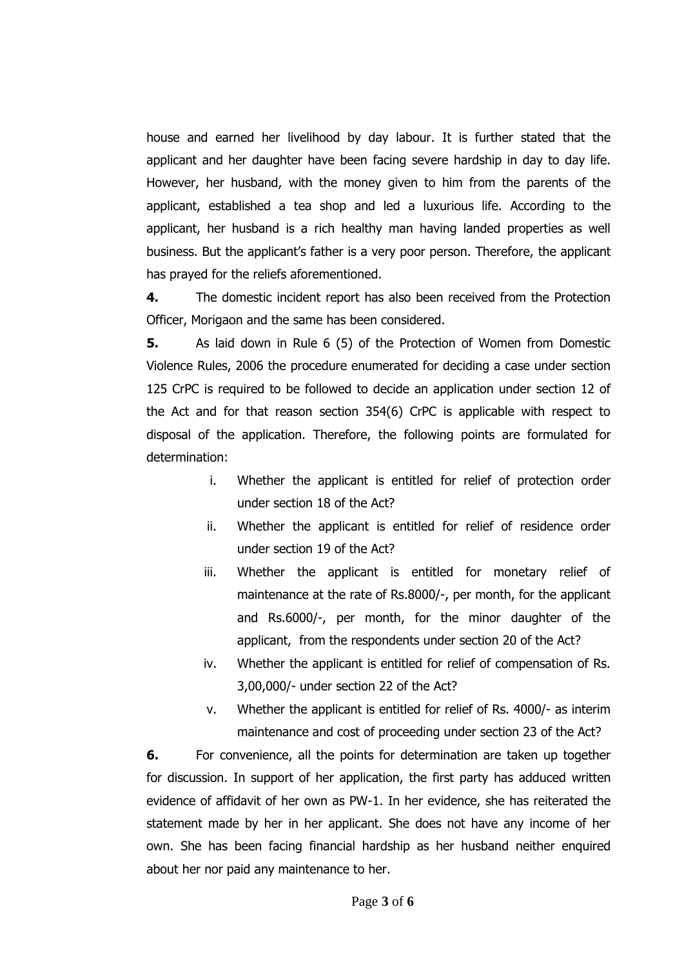house and earned her livelihood by day labour. It is further stated that the applicant and her daughter have been facing severe hardship in day to day life. However, her husband, with the money given to him from the parents of the applicant, established a tea shop and led a luxurious life. According to the applicant, her husband is a rich healthy man having landed properties as well business. But the applicant's father is a very poor person. Therefore, the applicant has prayed for the reliefs aforementioned.

**4.** The domestic incident report has also been received from the Protection Officer, Morigaon and the same has been considered.

**5.** As laid down in Rule 6 (5) of the Protection of Women from Domestic Violence Rules, 2006 the procedure enumerated for deciding a case under section 125 CrPC is required to be followed to decide an application under section 12 of the Act and for that reason section 354(6) CrPC is applicable with respect to disposal of the application. Therefore, the following points are formulated for determination:

- i. Whether the applicant is entitled for relief of protection order under section 18 of the Act?
- ii. Whether the applicant is entitled for relief of residence order under section 19 of the Act?
- iii. Whether the applicant is entitled for monetary relief of maintenance at the rate of Rs.8000/-, per month, for the applicant and Rs.6000/-, per month, for the minor daughter of the applicant, from the respondents under section 20 of the Act?
- iv. Whether the applicant is entitled for relief of compensation of Rs. 3,00,000/- under section 22 of the Act?
- v. Whether the applicant is entitled for relief of Rs. 4000/- as interim maintenance and cost of proceeding under section 23 of the Act?

**6.** For convenience, all the points for determination are taken up together for discussion. In support of her application, the first party has adduced written evidence of affidavit of her own as PW-1. In her evidence, she has reiterated the statement made by her in her applicant. She does not have any income of her own. She has been facing financial hardship as her husband neither enquired about her nor paid any maintenance to her.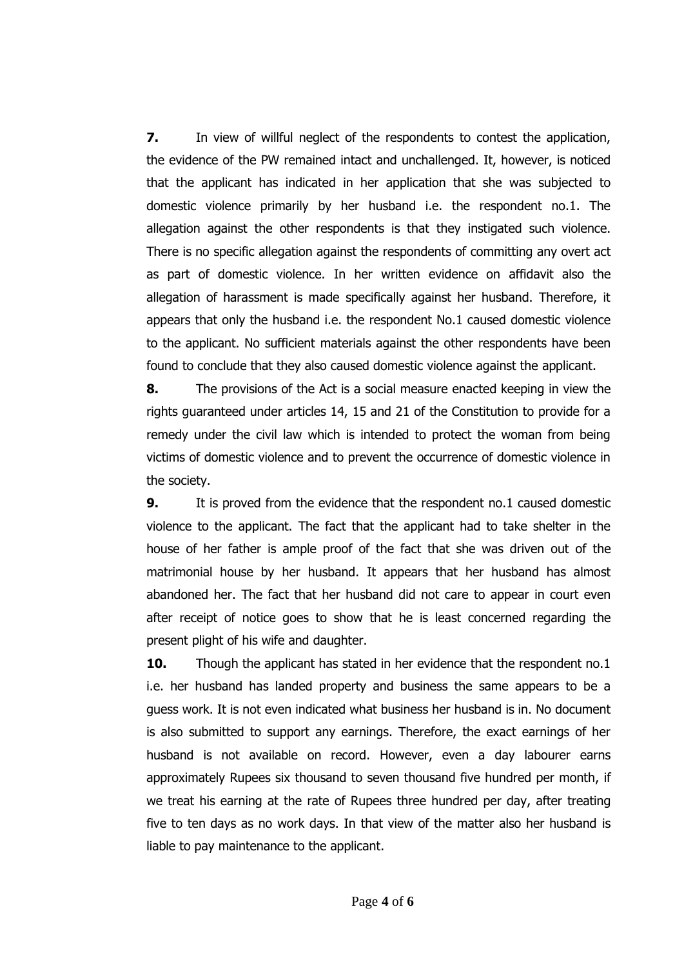**7.** In view of willful neglect of the respondents to contest the application, the evidence of the PW remained intact and unchallenged. It, however, is noticed that the applicant has indicated in her application that she was subjected to domestic violence primarily by her husband i.e. the respondent no.1. The allegation against the other respondents is that they instigated such violence. There is no specific allegation against the respondents of committing any overt act as part of domestic violence. In her written evidence on affidavit also the allegation of harassment is made specifically against her husband. Therefore, it appears that only the husband i.e. the respondent No.1 caused domestic violence to the applicant. No sufficient materials against the other respondents have been found to conclude that they also caused domestic violence against the applicant.

**8.** The provisions of the Act is a social measure enacted keeping in view the rights guaranteed under articles 14, 15 and 21 of the Constitution to provide for a remedy under the civil law which is intended to protect the woman from being victims of domestic violence and to prevent the occurrence of domestic violence in the society.

**9.** It is proved from the evidence that the respondent no.1 caused domestic violence to the applicant. The fact that the applicant had to take shelter in the house of her father is ample proof of the fact that she was driven out of the matrimonial house by her husband. It appears that her husband has almost abandoned her. The fact that her husband did not care to appear in court even after receipt of notice goes to show that he is least concerned regarding the present plight of his wife and daughter.

**10.** Though the applicant has stated in her evidence that the respondent no.1 i.e. her husband has landed property and business the same appears to be a guess work. It is not even indicated what business her husband is in. No document is also submitted to support any earnings. Therefore, the exact earnings of her husband is not available on record. However, even a day labourer earns approximately Rupees six thousand to seven thousand five hundred per month, if we treat his earning at the rate of Rupees three hundred per day, after treating five to ten days as no work days. In that view of the matter also her husband is liable to pay maintenance to the applicant.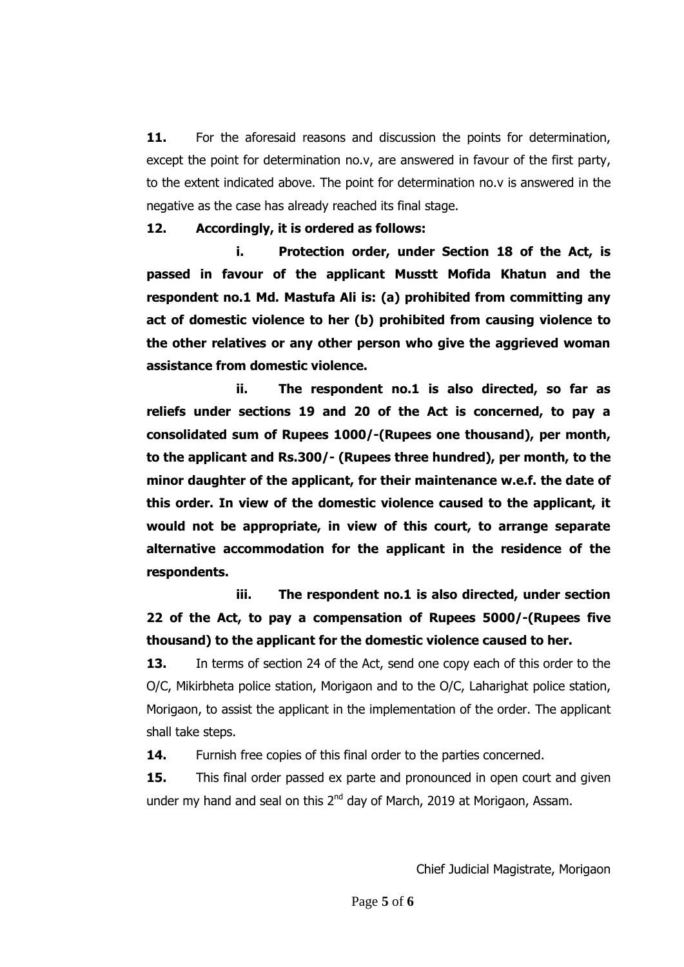11. For the aforesaid reasons and discussion the points for determination, except the point for determination no.v, are answered in favour of the first party, to the extent indicated above. The point for determination no.v is answered in the negative as the case has already reached its final stage.

#### **12. Accordingly, it is ordered as follows:**

**i. Protection order, under Section 18 of the Act, is passed in favour of the applicant Musstt Mofida Khatun and the respondent no.1 Md. Mastufa Ali is: (a) prohibited from committing any act of domestic violence to her (b) prohibited from causing violence to the other relatives or any other person who give the aggrieved woman assistance from domestic violence.**

**ii. The respondent no.1 is also directed, so far as reliefs under sections 19 and 20 of the Act is concerned, to pay a consolidated sum of Rupees 1000/-(Rupees one thousand), per month, to the applicant and Rs.300/- (Rupees three hundred), per month, to the minor daughter of the applicant, for their maintenance w.e.f. the date of this order. In view of the domestic violence caused to the applicant, it would not be appropriate, in view of this court, to arrange separate alternative accommodation for the applicant in the residence of the respondents.**

**iii. The respondent no.1 is also directed, under section 22 of the Act, to pay a compensation of Rupees 5000/-(Rupees five thousand) to the applicant for the domestic violence caused to her.**

**13.** In terms of section 24 of the Act, send one copy each of this order to the O/C, Mikirbheta police station, Morigaon and to the O/C, Laharighat police station, Morigaon, to assist the applicant in the implementation of the order. The applicant shall take steps.

**14.** Furnish free copies of this final order to the parties concerned.

**15.** This final order passed ex parte and pronounced in open court and given under my hand and seal on this 2<sup>nd</sup> day of March, 2019 at Morigaon, Assam.